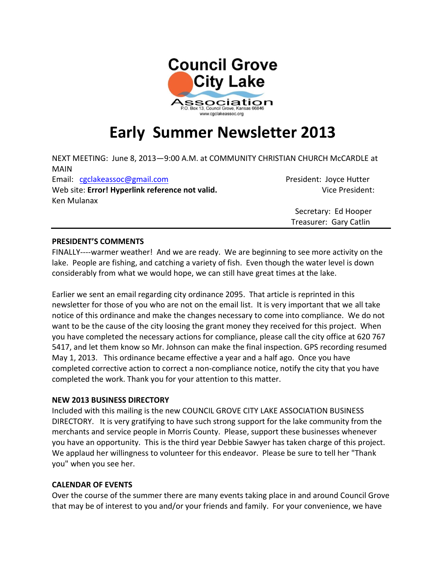

## **Early Summer Newsletter 2013**

NEXT MEETING: June 8, 2013—9:00 A.M. at COMMUNITY CHRISTIAN CHURCH McCARDLE at MAIN Email: [cgclakeassoc@gmail.com](mailto:cgclakeassoc@gmail.com) President: Joyce Hutter Web site: **Error! Hyperlink reference not valid.** Vice President: Ken Mulanax

 Secretary: Ed Hooper Treasurer: Gary Catlin

#### **PRESIDENT'S COMMENTS**

FINALLY----warmer weather! And we are ready. We are beginning to see more activity on the lake. People are fishing, and catching a variety of fish. Even though the water level is down considerably from what we would hope, we can still have great times at the lake.

Earlier we sent an email regarding city ordinance 2095. That article is reprinted in this newsletter for those of you who are not on the email list. It is very important that we all take notice of this ordinance and make the changes necessary to come into compliance. We do not want to be the cause of the city loosing the grant money they received for this project. When you have completed the necessary actions for compliance, please call the city office at 620 767 5417, and let them know so Mr. Johnson can make the final inspection. GPS recording resumed May 1, 2013. This ordinance became effective a year and a half ago. Once you have completed corrective action to correct a non-compliance notice, notify the city that you have completed the work. Thank you for your attention to this matter.

#### **NEW 2013 BUSINESS DIRECTORY**

Included with this mailing is the new COUNCIL GROVE CITY LAKE ASSOCIATION BUSINESS DIRECTORY. It is very gratifying to have such strong support for the lake community from the merchants and service people in Morris County. Please, support these businesses whenever you have an opportunity. This is the third year Debbie Sawyer has taken charge of this project. We applaud her willingness to volunteer for this endeavor. Please be sure to tell her "Thank you" when you see her.

#### **CALENDAR OF EVENTS**

Over the course of the summer there are many events taking place in and around Council Grove that may be of interest to you and/or your friends and family. For your convenience, we have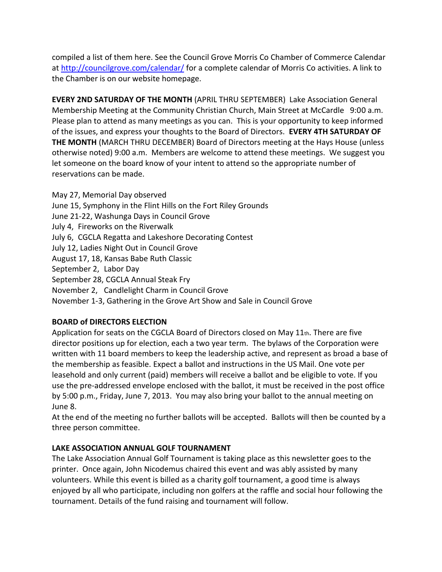compiled a list of them here. See the Council Grove Morris Co Chamber of Commerce Calendar at<http://councilgrove.com/calendar/> for a complete calendar of Morris Co activities. A link to the Chamber is on our website homepage.

**EVERY 2ND SATURDAY OF THE MONTH** (APRIL THRU SEPTEMBER) Lake Association General Membership Meeting at the Community Christian Church, Main Street at McCardle 9:00 a.m. Please plan to attend as many meetings as you can. This is your opportunity to keep informed of the issues, and express your thoughts to the Board of Directors. **EVERY 4TH SATURDAY OF THE MONTH** (MARCH THRU DECEMBER) Board of Directors meeting at the Hays House (unless otherwise noted) 9:00 a.m. Members are welcome to attend these meetings. We suggest you let someone on the board know of your intent to attend so the appropriate number of reservations can be made.

May 27, Memorial Day observed June 15, Symphony in the Flint Hills on the Fort Riley Grounds June 21-22, Washunga Days in Council Grove July 4, Fireworks on the Riverwalk July 6, CGCLA Regatta and Lakeshore Decorating Contest July 12, Ladies Night Out in Council Grove August 17, 18, Kansas Babe Ruth Classic September 2, Labor Day September 28, CGCLA Annual Steak Fry November 2, Candlelight Charm in Council Grove November 1-3, Gathering in the Grove Art Show and Sale in Council Grove

#### **BOARD of DIRECTORS ELECTION**

Application for seats on the CGCLA Board of Directors closed on May 11th. There are five director positions up for election, each a two year term. The bylaws of the Corporation were written with 11 board members to keep the leadership active, and represent as broad a base of the membership as feasible. Expect a ballot and instructions in the US Mail. One vote per leasehold and only current (paid) members will receive a ballot and be eligible to vote. If you use the pre-addressed envelope enclosed with the ballot, it must be received in the post office by 5:00 p.m., Friday, June 7, 2013. You may also bring your ballot to the annual meeting on June 8.

At the end of the meeting no further ballots will be accepted. Ballots will then be counted by a three person committee.

#### **LAKE ASSOCIATION ANNUAL GOLF TOURNAMENT**

The Lake Association Annual Golf Tournament is taking place as this newsletter goes to the printer. Once again, John Nicodemus chaired this event and was ably assisted by many volunteers. While this event is billed as a charity golf tournament, a good time is always enjoyed by all who participate, including non golfers at the raffle and social hour following the tournament. Details of the fund raising and tournament will follow.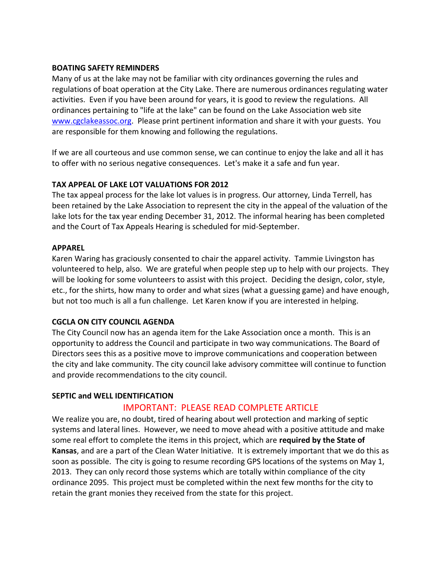#### **BOATING SAFETY REMINDERS**

Many of us at the lake may not be familiar with city ordinances governing the rules and regulations of boat operation at the City Lake. There are numerous ordinances regulating water activities. Even if you have been around for years, it is good to review the regulations. All ordinances pertaining to "life at the lake" can be found on the Lake Association web site [www.cgclakeassoc.org.](www.cgclakeassoc.org) Please print pertinent information and share it with your guests. You are responsible for them knowing and following the regulations.

If we are all courteous and use common sense, we can continue to enjoy the lake and all it has to offer with no serious negative consequences. Let's make it a safe and fun year.

#### **TAX APPEAL OF LAKE LOT VALUATIONS FOR 2012**

The tax appeal process for the lake lot values is in progress. Our attorney, Linda Terrell, has been retained by the Lake Association to represent the city in the appeal of the valuation of the lake lots for the tax year ending December 31, 2012. The informal hearing has been completed and the Court of Tax Appeals Hearing is scheduled for mid-September.

#### **APPAREL**

Karen Waring has graciously consented to chair the apparel activity. Tammie Livingston has volunteered to help, also. We are grateful when people step up to help with our projects. They will be looking for some volunteers to assist with this project. Deciding the design, color, style, etc., for the shirts, how many to order and what sizes (what a guessing game) and have enough, but not too much is all a fun challenge. Let Karen know if you are interested in helping.

#### **CGCLA ON CITY COUNCIL AGENDA**

The City Council now has an agenda item for the Lake Association once a month. This is an opportunity to address the Council and participate in two way communications. The Board of Directors sees this as a positive move to improve communications and cooperation between the city and lake community. The city council lake advisory committee will continue to function and provide recommendations to the city council.

#### **SEPTIC and WELL IDENTIFICATION**

### IMPORTANT: PLEASE READ COMPLETE ARTICLE

We realize you are, no doubt, tired of hearing about well protection and marking of septic systems and lateral lines. However, we need to move ahead with a positive attitude and make some real effort to complete the items in this project, which are **required by the State of Kansas**, and are a part of the Clean Water Initiative. It is extremely important that we do this as soon as possible. The city is going to resume recording GPS locations of the systems on May 1, 2013. They can only record those systems which are totally within compliance of the city ordinance 2095. This project must be completed within the next few months for the city to retain the grant monies they received from the state for this project.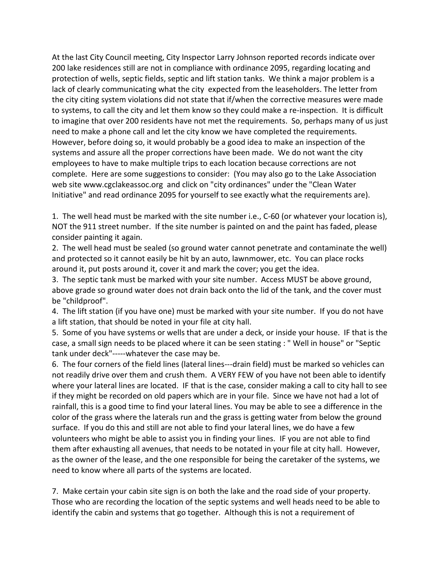At the last City Council meeting, City Inspector Larry Johnson reported records indicate over 200 lake residences still are not in compliance with ordinance 2095, regarding locating and protection of wells, septic fields, septic and lift station tanks. We think a major problem is a lack of clearly communicating what the city expected from the leaseholders. The letter from the city citing system violations did not state that if/when the corrective measures were made to systems, to call the city and let them know so they could make a re-inspection. It is difficult to imagine that over 200 residents have not met the requirements. So, perhaps many of us just need to make a phone call and let the city know we have completed the requirements. However, before doing so, it would probably be a good idea to make an inspection of the systems and assure all the proper corrections have been made. We do not want the city employees to have to make multiple trips to each location because corrections are not complete. Here are some suggestions to consider: (You may also go to the Lake Association web site www.cgclakeassoc.org and click on "city ordinances" under the "Clean Water Initiative" and read ordinance 2095 for yourself to see exactly what the requirements are).

1. The well head must be marked with the site number i.e., C-60 (or whatever your location is), NOT the 911 street number. If the site number is painted on and the paint has faded, please consider painting it again.

2. The well head must be sealed (so ground water cannot penetrate and contaminate the well) and protected so it cannot easily be hit by an auto, lawnmower, etc. You can place rocks around it, put posts around it, cover it and mark the cover; you get the idea.

3. The septic tank must be marked with your site number. Access MUST be above ground, above grade so ground water does not drain back onto the lid of the tank, and the cover must be "childproof".

4. The lift station (if you have one) must be marked with your site number. If you do not have a lift station, that should be noted in your file at city hall.

5. Some of you have systems or wells that are under a deck, or inside your house. IF that is the case, a small sign needs to be placed where it can be seen stating : " Well in house" or "Septic tank under deck"-----whatever the case may be.

6. The four corners of the field lines (lateral lines---drain field) must be marked so vehicles can not readily drive over them and crush them. A VERY FEW of you have not been able to identify where your lateral lines are located. IF that is the case, consider making a call to city hall to see if they might be recorded on old papers which are in your file. Since we have not had a lot of rainfall, this is a good time to find your lateral lines. You may be able to see a difference in the color of the grass where the laterals run and the grass is getting water from below the ground surface. If you do this and still are not able to find your lateral lines, we do have a few volunteers who might be able to assist you in finding your lines. IF you are not able to find them after exhausting all avenues, that needs to be notated in your file at city hall. However, as the owner of the lease, and the one responsible for being the caretaker of the systems, we need to know where all parts of the systems are located.

7. Make certain your cabin site sign is on both the lake and the road side of your property. Those who are recording the location of the septic systems and well heads need to be able to identify the cabin and systems that go together. Although this is not a requirement of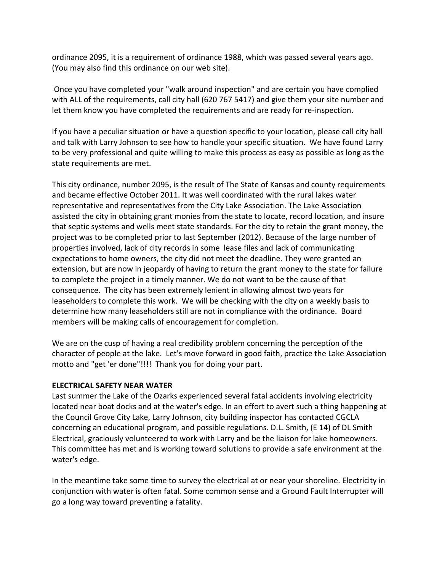ordinance 2095, it is a requirement of ordinance 1988, which was passed several years ago. (You may also find this ordinance on our web site).

Once you have completed your "walk around inspection" and are certain you have complied with ALL of the requirements, call city hall (620 767 5417) and give them your site number and let them know you have completed the requirements and are ready for re-inspection.

If you have a peculiar situation or have a question specific to your location, please call city hall and talk with Larry Johnson to see how to handle your specific situation. We have found Larry to be very professional and quite willing to make this process as easy as possible as long as the state requirements are met.

This city ordinance, number 2095, is the result of The State of Kansas and county requirements and became effective October 2011. It was well coordinated with the rural lakes water representative and representatives from the City Lake Association. The Lake Association assisted the city in obtaining grant monies from the state to locate, record location, and insure that septic systems and wells meet state standards. For the city to retain the grant money, the project was to be completed prior to last September (2012). Because of the large number of properties involved, lack of city records in some lease files and lack of communicating expectations to home owners, the city did not meet the deadline. They were granted an extension, but are now in jeopardy of having to return the grant money to the state for failure to complete the project in a timely manner. We do not want to be the cause of that consequence. The city has been extremely lenient in allowing almost two years for leaseholders to complete this work. We will be checking with the city on a weekly basis to determine how many leaseholders still are not in compliance with the ordinance. Board members will be making calls of encouragement for completion.

We are on the cusp of having a real credibility problem concerning the perception of the character of people at the lake. Let's move forward in good faith, practice the Lake Association motto and "get 'er done"!!!! Thank you for doing your part.

#### **ELECTRICAL SAFETY NEAR WATER**

Last summer the Lake of the Ozarks experienced several fatal accidents involving electricity located near boat docks and at the water's edge. In an effort to avert such a thing happening at the Council Grove City Lake, Larry Johnson, city building inspector has contacted CGCLA concerning an educational program, and possible regulations. D.L. Smith, (E 14) of DL Smith Electrical, graciously volunteered to work with Larry and be the liaison for lake homeowners. This committee has met and is working toward solutions to provide a safe environment at the water's edge.

In the meantime take some time to survey the electrical at or near your shoreline. Electricity in conjunction with water is often fatal. Some common sense and a Ground Fault Interrupter will go a long way toward preventing a fatality.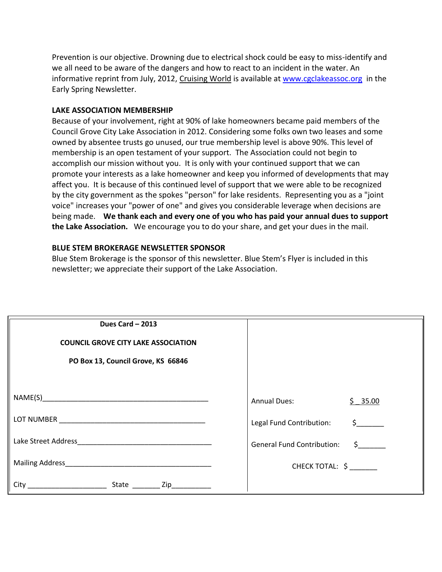Prevention is our objective. Drowning due to electrical shock could be easy to miss-identify and we all need to be aware of the dangers and how to react to an incident in the water. An informative reprint from July, 2012, Cruising World is available a[t www.cgclakeassoc.org](http://www.cgclakeassoc.org/) in the Early Spring Newsletter.

#### **LAKE ASSOCIATION MEMBERSHIP**

Because of your involvement, right at 90% of lake homeowners became paid members of the Council Grove City Lake Association in 2012. Considering some folks own two leases and some owned by absentee trusts go unused, our true membership level is above 90%. This level of membership is an open testament of your support. The Association could not begin to accomplish our mission without you. It is only with your continued support that we can promote your interests as a lake homeowner and keep you informed of developments that may affect you. It is because of this continued level of support that we were able to be recognized by the city government as the spokes "person" for lake residents. Representing you as a "joint voice" increases your "power of one" and gives you considerable leverage when decisions are being made. **We thank each and every one of you who has paid your annual dues to support the Lake Association.** We encourage you to do your share, and get your dues in the mail.

#### **BLUE STEM BROKERAGE NEWSLETTER SPONSOR**

Blue Stem Brokerage is the sponsor of this newsletter. Blue Stem's Flyer is included in this newsletter; we appreciate their support of the Lake Association.

| Dues Card - 2013<br><b>COUNCIL GROVE CITY LAKE ASSOCIATION</b><br>PO Box 13, Council Grove, KS 66846 |                                                          |  |
|------------------------------------------------------------------------------------------------------|----------------------------------------------------------|--|
|                                                                                                      | <b>Annual Dues:</b><br>$$ -35.00$                        |  |
|                                                                                                      | Legal Fund Contribution:<br>$\sharp$ and $\sharp$        |  |
|                                                                                                      | <b>General Fund Contribution:</b><br>$\zeta$ and $\zeta$ |  |
|                                                                                                      | CHECK TOTAL: \$                                          |  |
| State ___________ Zip_____________<br>City                                                           |                                                          |  |